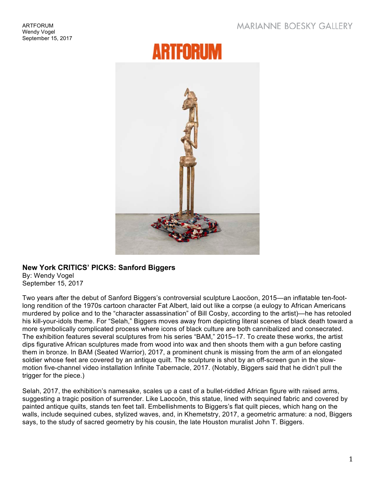## **MARIANNE BOESKY GALLERY**

## **ARTFORUM**



## **New York CRITICS' PICKS: Sanford Biggers**

By: Wendy Vogel September 15, 2017

Two years after the debut of Sanford Biggers's controversial sculpture Laocöon, 2015—an inflatable ten-footlong rendition of the 1970s cartoon character Fat Albert, laid out like a corpse (a eulogy to African Americans murdered by police and to the "character assassination" of Bill Cosby, according to the artist)—he has retooled his kill-your-idols theme. For "Selah," Biggers moves away from depicting literal scenes of black death toward a more symbolically complicated process where icons of black culture are both cannibalized and consecrated. The exhibition features several sculptures from his series "BAM," 2015–17. To create these works, the artist dips figurative African sculptures made from wood into wax and then shoots them with a gun before casting them in bronze. In BAM (Seated Warrior), 2017, a prominent chunk is missing from the arm of an elongated soldier whose feet are covered by an antique quilt. The sculpture is shot by an off-screen gun in the slowmotion five-channel video installation Infinite Tabernacle, 2017. (Notably, Biggers said that he didn't pull the trigger for the piece.)

Selah, 2017, the exhibition's namesake, scales up a cast of a bullet-riddled African figure with raised arms, suggesting a tragic position of surrender. Like Laocoön, this statue, lined with sequined fabric and covered by painted antique quilts, stands ten feet tall. Embellishments to Biggers's flat quilt pieces, which hang on the walls, include sequined cubes, stylized waves, and, in Khemetstry, 2017, a geometric armature: a nod, Biggers says, to the study of sacred geometry by his cousin, the late Houston muralist John T. Biggers.